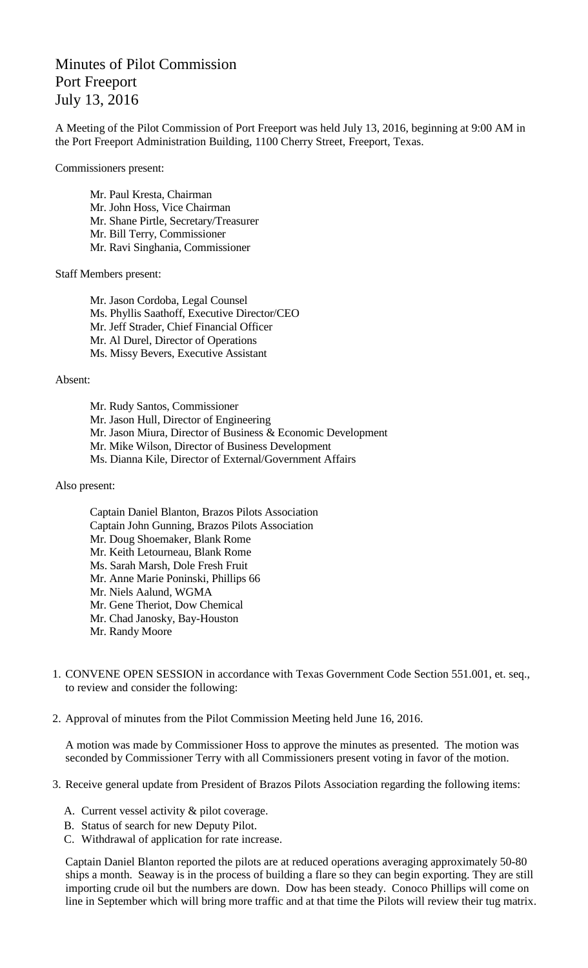## Minutes of Pilot Commission Port Freeport July 13, 2016

A Meeting of the Pilot Commission of Port Freeport was held July 13, 2016, beginning at 9:00 AM in the Port Freeport Administration Building, 1100 Cherry Street, Freeport, Texas.

Commissioners present:

Mr. Paul Kresta, Chairman Mr. John Hoss, Vice Chairman Mr. Shane Pirtle, Secretary/Treasurer Mr. Bill Terry, Commissioner Mr. Ravi Singhania, Commissioner

Staff Members present:

Mr. Jason Cordoba, Legal Counsel Ms. Phyllis Saathoff, Executive Director/CEO Mr. Jeff Strader, Chief Financial Officer Mr. Al Durel, Director of Operations Ms. Missy Bevers, Executive Assistant

Absent:

Mr. Rudy Santos, Commissioner Mr. Jason Hull, Director of Engineering Mr. Jason Miura, Director of Business & Economic Development Mr. Mike Wilson, Director of Business Development Ms. Dianna Kile, Director of External/Government Affairs

Also present:

Captain Daniel Blanton, Brazos Pilots Association Captain John Gunning, Brazos Pilots Association Mr. Doug Shoemaker, Blank Rome Mr. Keith Letourneau, Blank Rome Ms. Sarah Marsh, Dole Fresh Fruit Mr. Anne Marie Poninski, Phillips 66 Mr. Niels Aalund, WGMA Mr. Gene Theriot, Dow Chemical Mr. Chad Janosky, Bay-Houston Mr. Randy Moore

- 1. CONVENE OPEN SESSION in accordance with Texas Government Code Section 551.001, et. seq., to review and consider the following:
- 2. Approval of minutes from the Pilot Commission Meeting held June 16, 2016.

A motion was made by Commissioner Hoss to approve the minutes as presented. The motion was seconded by Commissioner Terry with all Commissioners present voting in favor of the motion.

- 3. Receive general update from President of Brazos Pilots Association regarding the following items:
	- A. Current vessel activity & pilot coverage.
	- B. Status of search for new Deputy Pilot.
	- C. Withdrawal of application for rate increase.

Captain Daniel Blanton reported the pilots are at reduced operations averaging approximately 50-80 ships a month. Seaway is in the process of building a flare so they can begin exporting. They are still importing crude oil but the numbers are down. Dow has been steady. Conoco Phillips will come on line in September which will bring more traffic and at that time the Pilots will review their tug matrix.